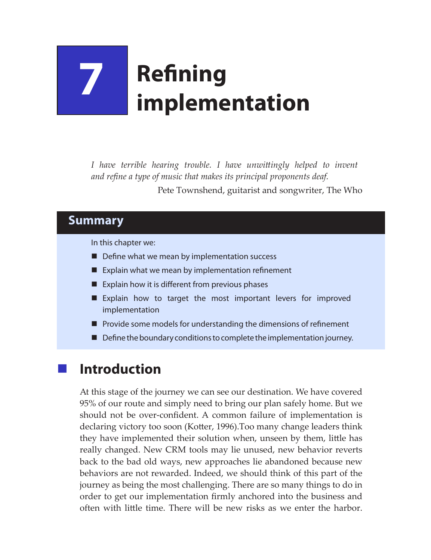# **7 Refining implementation**

*I have terrible hearing trouble. I have unwittingly helped to invent and refine a type of music that makes its principal proponents deaf.* Pete Townshend, guitarist and songwriter, The Who

### **Summary**

In this chapter we:

- $\blacksquare$  Define what we mean by implementation success
- Explain what we mean by implementation refinement
- Explain how it is different from previous phases
- **Explain how to target the most important levers for improved** implementation
- $\blacksquare$  Provide some models for understanding the dimensions of refinement
- Define the boundary conditions to complete the implementation journey.

## **Introduction**

At this stage of the journey we can see our destination. We have covered 95% of our route and simply need to bring our plan safely home. But we should not be over-confident. A common failure of implementation is declaring victory too soon (Kotter, 1996).Too many change leaders think they have implemented their solution when, unseen by them, little has really changed. New CRM tools may lie unused, new behavior reverts back to the bad old ways, new approaches lie abandoned because new behaviors are not rewarded. Indeed, we should think of this part of the journey as being the most challenging. There are so many things to do in order to get our implementation firmly anchored into the business and often with little time. There will be new risks as we enter the harbor.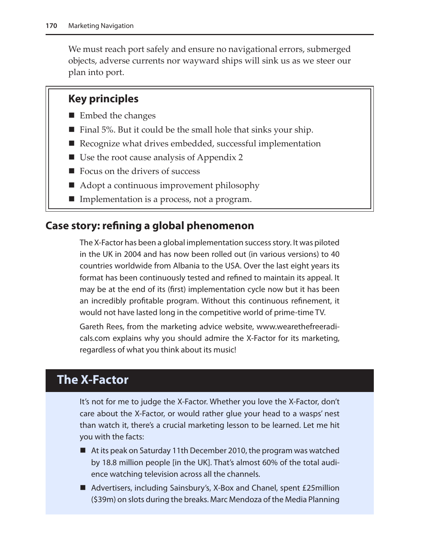We must reach port safely and ensure no navigational errors, submerged objects, adverse currents nor wayward ships will sink us as we steer our plan into port.

#### **Key principles**

- Embed the changes
- $\blacksquare$  Final 5%. But it could be the small hole that sinks your ship.
- Recognize what drives embedded, successful implementation
- Use the root cause analysis of Appendix 2
- Focus on the drivers of success
- Adopt a continuous improvement philosophy
- Implementation is a process, not a program.

#### **Case story: refining a global phenomenon**

The X-Factor has been a global implementation success story. It was piloted in the UK in 2004 and has now been rolled out (in various versions) to 40 countries worldwide from Albania to the USA. Over the last eight years its format has been continuously tested and refined to maintain its appeal. It may be at the end of its (first) implementation cycle now but it has been an incredibly profitable program. Without this continuous refinement, it would not have lasted long in the competitive world of prime-time TV.

Gareth Rees, from the marketing advice website, www.wearethefreeradicals.com explains why you should admire the X-Factor for its marketing, regardless of what you think about its music!

## **The X-Factor**

It's not for me to judge the X-Factor. Whether you love the X-Factor, don't care about the X-Factor, or would rather glue your head to a wasps' nest than watch it, there's a crucial marketing lesson to be learned. Let me hit you with the facts:

- At its peak on Saturday 11th December 2010, the program was watched by 18.8 million people [in the UK]. That's almost 60% of the total audience watching television across all the channels.
- Advertisers, including Sainsbury's, X-Box and Chanel, spent £25million (\$39m) on slots during the breaks. Marc Mendoza of the Media Planning